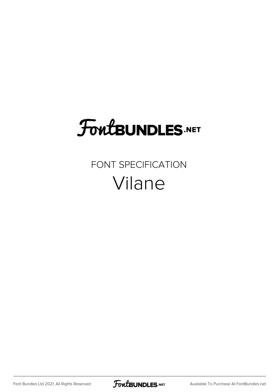## **FoutBUNDLES.NET**

#### FONT SPECIFICATION Vilane

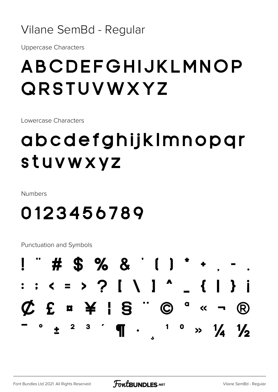#### Vilane SemBd - Regular

**Uppercase Characters** 

## ABCDEFGHIJKLMNOP QRSTUVWXYZ

Lowercase Characters

## abcdefghijkImnopgr stuvwxyz

**Numbers** 

### 0123456789

Punctuation and Symbols

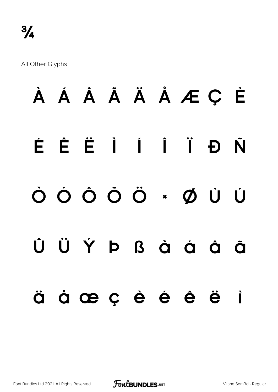All Other Glyphs

# **À Á Â Ã Ä Å Æ Ç È É Ê Ë Ì Í Î Ï Ð Ñ Ò Ó Ô Õ Ö × Ø Ù Ú Û Ü Ý Þ ß à á â ã ä å æ ç è é ê ë ì**

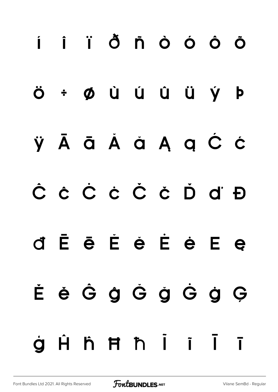## i i i ð ñ ò ó ô ö ÷ Ø Ù Ú Û Ü Ý Þ Ö ÿĀā Ă ă Ą ą Ć ć Ĉ ĉ Č ċ Č č Ď ď Đ È ē Ě è Ė è E e đ ĚěĜĝĜğĜġĢ Hh**Hh**ii  $\overline{1}$ à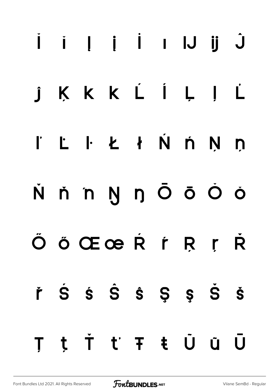## Û Ü U I İ İ İ Ü Ü KKKLÍLJL  $\int$ L I Ł ł Ń ń Ņ ņ  $\mathbf{r}$ N ň n Ŋ ŋ Ō ō Ŏ ŏ ÖÖŒœRŕŖŗ R řŚŚŜŜŜŞŞŠŠ t Ť ť Ŧ ŧ Ů ũ  $\bigcup$ T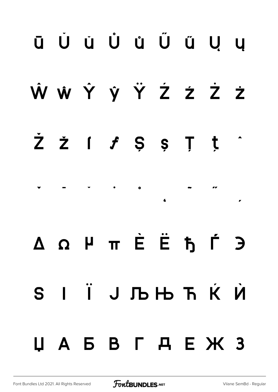## **ū Ŭ ŭ Ů ů Ű ű Ų ų Ŵ ŵ Ŷ ŷ Ÿ Ź ź Ż ż Ž ž ſ ƒ Ș ș Ț ț ˆ ˇ ˉ ˘ ˙ ˚ ˛ ˜ ˝ ̦ Δ Ω μ π Ѐ Ё Ђ Ѓ Є Ѕ І Ї Ј Љ Њ Ћ Ќ Ѝ Џ А Б В Г Д Е Ж З**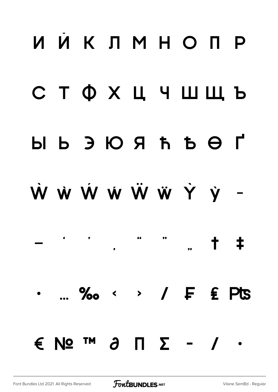## ИЙКЛМНОПР **СТФХЦЧШЩЬ**  $H$   $\Theta$   $\overline{H}$   $\overline{H}$   $\overline{H}$   $\overline{H}$   $\overline{H}$   $\overline{H}$   $\overline{H}$   $\overline{H}$   $\overline{H}$ W W W W W W Y V -66  $+$   $+$  $\ldots$  ‰ < > /  $\vdash$  £ Pts  $\epsilon$  No  $\mathsf{M}$   $\lambda$   $\mathsf{M}$   $\mathsf{\Sigma}$  - /  $\cdot$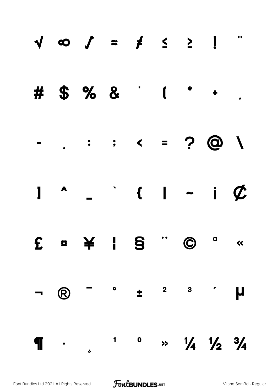|                |            |                          | # $$ \% 8$ $1$ $1$                                                                                       |                                           |  |
|----------------|------------|--------------------------|----------------------------------------------------------------------------------------------------------|-------------------------------------------|--|
|                |            |                          |                                                                                                          |                                           |  |
|                |            |                          | $1 - 1 - i$                                                                                              |                                           |  |
|                |            |                          | £ ¤ ¥ ¦ § " © a «                                                                                        |                                           |  |
| $\blacksquare$ | $\bigcirc$ |                          | $\begin{array}{ccccccccccccccccccccc} - & & & \circ & & & \pm & & ^2 & & ^3 & & ^\prime & & \end{array}$ |                                           |  |
|                |            | $\P$ . $\qquad \qquad$ . |                                                                                                          | $\frac{1}{4}$ $\frac{1}{2}$ $\frac{3}{4}$ |  |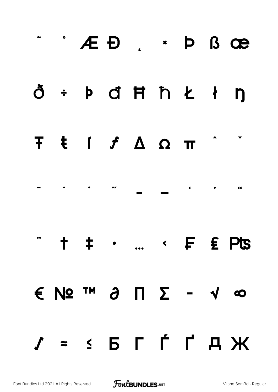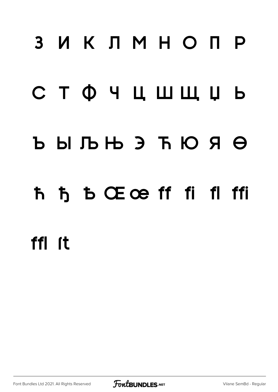## 3 ИКЛМНОПР

## СТФЧЦШЩЏЬ

### $b$   $b$   $b$   $b$   $b$   $c$   $d$   $d$   $d$

### ħ ђ b Œœ ff fi fl ffi

### ffl <sub>ft</sub>

Font Bundles Ltd 2021. All Rights Reserved

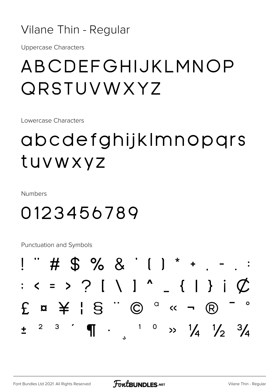#### Vilane Thin - Regular

**Uppercase Characters** 

### ABCDEFGHIJKLMNOP QRSTUVWXYZ

Lowercase Characters

## abcdefghijkImnopqrs tuvwxyz

**Numbers** 

### 0123456789

Punctuation and Symbols

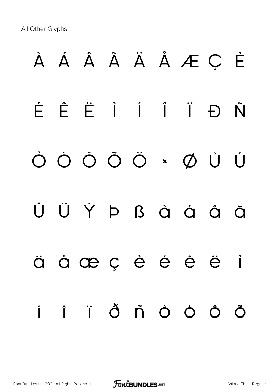All Other Glyphs

# À Á Â Ã Ä Å Æ Ç È É Ê Ë Ì Í Î Ï Ð Ñ Ò Ó Ô Õ Ö × Ø Ù Ú Û Ü Ý Þ ß à á â ã ä å æ ç è é ê ë ì í î ï ð ñ ò ó ô õ

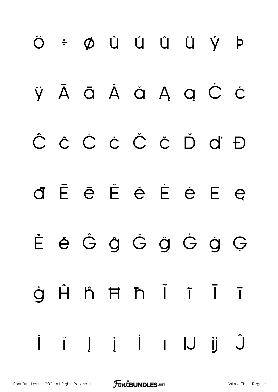## Ö ÷ Ø Ù Ú Û Ü Ý þ ŸĀ ā Ă ă Ą ą Ć Ć Ĉ ĉ Ċ ċ Č č Ď ď Đ d Ē ē Ě ě É ė E ę ĚěĜĝĞğĠġĢ Hh Hh Ï Ï ġ  $\overline{1}$  $\hat{\mathsf{J}}$ i | | | | | |J |j  $\check{\mathsf{I}}$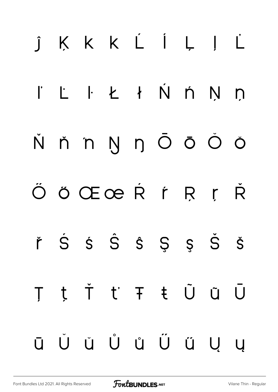## j K K K L Í L J L I L I Ł ł Ń ń Ņ ņ Ňňn ŊŋŌōŎ ÖÖŒœŘŕŖŗ **R** řŚŚŜŜŜŞŞŠŠ t Ť ť Ŧ ŧ Ũ ũ  $\bigcup$  $\top$ Ŭ Ŭ Ů Ů Ű Ű Ŭ Ų Ū  $\overline{u}$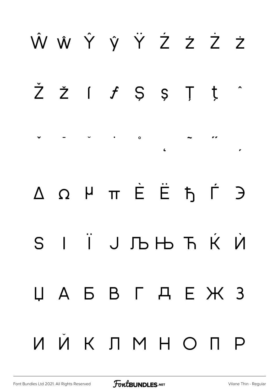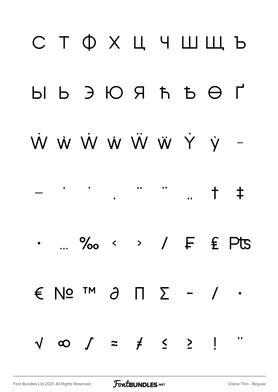## СТФХЦЧШШЬ ŴŴŴŴŴŴŶÝ- $\begin{array}{ccccc}\n\bullet & & & \bullet & & \bullet & \bullet\n\end{array}$  $\left( \begin{array}{ccc} 0 & 0 & 0 \\ 0 & 0 & 0 \\ 0 & 0 & 0 \\ 0 & 0 & 0 \\ 0 & 0 & 0 \\ 0 & 0 & 0 \\ 0 & 0 & 0 \\ 0 & 0 & 0 \\ 0 & 0 & 0 \\ 0 & 0 & 0 \\ 0 & 0 & 0 \\ 0 & 0 & 0 \\ 0 & 0 & 0 \\ 0 & 0 & 0 & 0 \\ 0 & 0 & 0 & 0 \\ 0 & 0 & 0 & 0 \\ 0 & 0 & 0 & 0 \\ 0 & 0 & 0 & 0 & 0 \\ 0 & 0 & 0 & 0 & 0 \\ 0 & 0 & 0 & 0 & 0 \\$  $+$  $\ddagger$ ... ‰ < > / F £ Pts  $\epsilon$  No  $\alpha$   $\alpha$   $\beta$   $\alpha$   $\beta$   $\alpha$   $\beta$   $\beta$  $\sqrt{\infty}$   $\int$  =  $\neq$   $\leq$   $\geq$   $\mid$  $\bullet$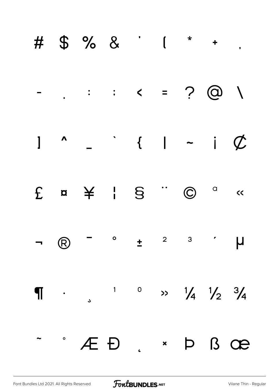|  | # \$ % & ' ( * + .                                                                                                                                                                                                                                                                                                                                                                                                                               |  |  |  |
|--|--------------------------------------------------------------------------------------------------------------------------------------------------------------------------------------------------------------------------------------------------------------------------------------------------------------------------------------------------------------------------------------------------------------------------------------------------|--|--|--|
|  |                                                                                                                                                                                                                                                                                                                                                                                                                                                  |  |  |  |
|  | $1$ $\sim$ $ \sim$ $1$ $ \sim$ $1$ $\not\subset$                                                                                                                                                                                                                                                                                                                                                                                                 |  |  |  |
|  | $E \quad a \quad \not\cong \quad   \quad S \quad \text{``}\quad \textcircled{c} \quad \text{``}$                                                                                                                                                                                                                                                                                                                                                 |  |  |  |
|  | $\begin{array}{ccccccccccccccccccccc}\n\mathbf{-} & \mathbf{0} & \mathbf{-} & \circ & \mathbf{1} & \mathbf{1} & \mathbf{2} & \mathbf{3} & \mathbf{3} & \mathbf{4} & \mathbf{5} & \mathbf{6} & \mathbf{6} & \mathbf{7} & \mathbf{8} & \mathbf{8} & \mathbf{9} & \mathbf{1} & \mathbf{1} & \mathbf{1} & \mathbf{1} & \mathbf{1} & \mathbf{1} & \mathbf{1} & \mathbf{1} & \mathbf{1} & \mathbf{1} & \mathbf{1} & \mathbf{1} & \mathbf{1} & \mathbf$ |  |  |  |
|  |                                                                                                                                                                                                                                                                                                                                                                                                                                                  |  |  |  |
|  | - AED. * D B OB                                                                                                                                                                                                                                                                                                                                                                                                                                  |  |  |  |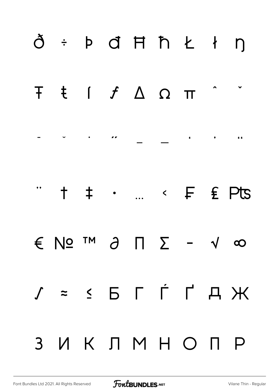| ð ÷ þ đ Ħ ħ Ł ł ŋ                                                                                                                                                                                                                                                                                                                                                                                                                                                                   |  |  |  |  |
|-------------------------------------------------------------------------------------------------------------------------------------------------------------------------------------------------------------------------------------------------------------------------------------------------------------------------------------------------------------------------------------------------------------------------------------------------------------------------------------|--|--|--|--|
| F ŧ ſ ƒ Δ Ω π                                                                                                                                                                                                                                                                                                                                                                                                                                                                       |  |  |  |  |
|                                                                                                                                                                                                                                                                                                                                                                                                                                                                                     |  |  |  |  |
| $\qquad \qquad \, \texttt{+ + + \cdot } \quad \texttt{+} \quad \texttt{+} \quad \texttt{+} \quad \texttt{+} \quad \texttt{+} \quad \texttt{+} \quad \texttt{+} \quad \texttt{+} \quad \texttt{+} \quad \texttt{+} \quad \texttt{+} \quad \texttt{+} \quad \texttt{+} \quad \texttt{+} \quad \texttt{+} \quad \texttt{+} \quad \texttt{+} \quad \texttt{+} \quad \texttt{+} \quad \texttt{+} \quad \texttt{+} \quad \texttt{+} \quad \texttt{+} \quad \texttt{+} \quad \texttt{+} \$ |  |  |  |  |
| $\epsilon$ No $\epsilon$ $\theta$ $\pi$ $\epsilon$ - $\sqrt{\infty}$                                                                                                                                                                                                                                                                                                                                                                                                                |  |  |  |  |
| $J = S B \cap \Gamma A H$                                                                                                                                                                                                                                                                                                                                                                                                                                                           |  |  |  |  |
| 3 ИКЛМНОПР                                                                                                                                                                                                                                                                                                                                                                                                                                                                          |  |  |  |  |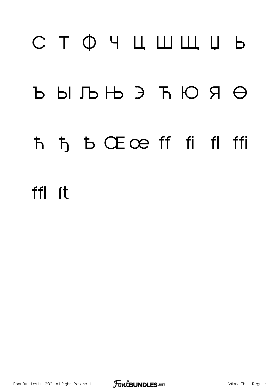# СТФЧЦШЩЏЬ  $\begin{matrix} \text{D} & \text{D} & \text{D} & \text{D} & \text{D} & \text{D} & \text{D} & \text{D} & \text{D} & \text{D} & \text{D} & \text{D} & \text{D} & \text{D} & \text{D} & \text{D} & \text{D} & \text{D} & \text{D} & \text{D} & \text{D} & \text{D} & \text{D} & \text{D} & \text{D} & \text{D} & \text{D} & \text{D} & \text{D} & \text{D} & \text{D} & \text{D} & \text{D} & \text{D} & \text{D} & \text{D}$ Ћ Ђ Ѣ Œœ ff fi fl ffi ffl (t

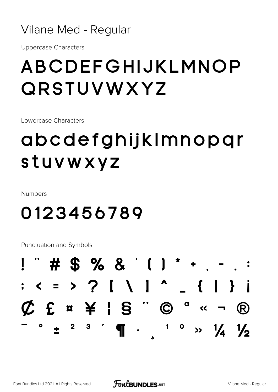#### Vilane Med - Regular

**Uppercase Characters** 

### ABCDEFGHIJKLMNOP QRSTUVWXYZ

Lowercase Characters

## abcdefghijkImnopqr stuvwxyz

Numbers

### 0123456789

Punctuation and Symbols

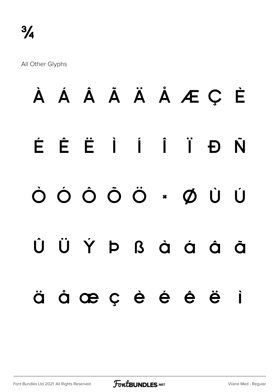All Other Glyphs

## À Á Â Ã Ä Å Æ Ç È ÉÊËÌÍÏĐ Ñ ÒÓÔÔÖ \* ØÙÚ ÜÝÞßàáâ  $\hat{U}$ Õ àœçèéê ä  $\blacksquare$

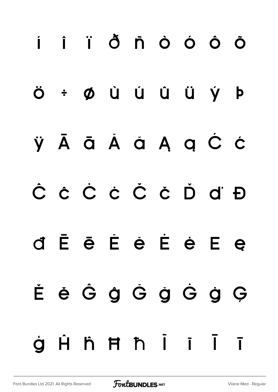## i î ï ð ñ ò ó ô õ ÷ Ø Ù Ú Û Ü Ý Þ Ö ÿĀā Ă ă Ą ą Ć ć Ĉ ĉ Č ċ Č č Ď ď Đ d Ē ē Ě ė Ė ė E e ĚěĜĝĞğĜġĢ Hh Hh İ İ  $\overline{1}$ à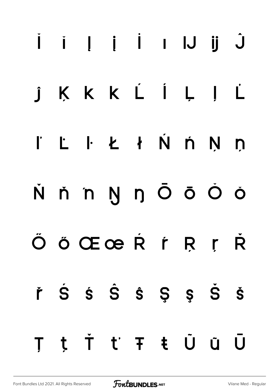## Û JU I İ İ JÜ J KKKLÍLI  $\overline{L}$  $\int$ L I Ł ł Ń ń Ņ ņ  $\mathbf{r}$ N ň n Ŋ ŋ Ō ō Ŏ ŏ ÖÖŒœRŕŖŗ Ŕ řŚŚŜŜŜŞŞŠŠ tŤ ťŦ ŧŨũ U T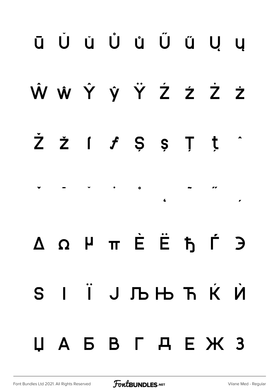## ū Ŭ ŭ Ů ů Ű ű Ų ų Ŵ ŵ Ŷ ŷ Ÿ Ź ź Ż ż  $\dot{Z}$   $\dot{Z}$   $\dot{f}$   $\dot{S}$   $\dot{S}$   $\ddot{J}$   $\dot{J}$ ˇ ˉ ˘ ˙ ˚  $\overline{a}$   $\overline{a}$   $\overline{a}$ Δ Ω μ π Ѐ Ё Ђ Ѓ Є S I Ï J Љ Њ Ћ Ќ Ѝ Џ А Б В Г Д Е Ж З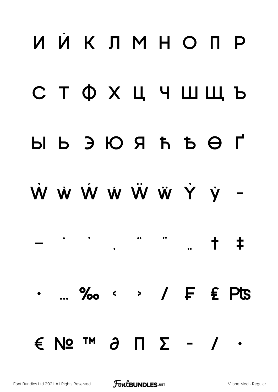## ИЙКЛМНОПР **СТФХЦЧШЩЬ**  $H$   $\Theta$   $H$   $\Theta$   $\Theta$   $\Theta$   $\Theta$   $\Theta$ W W W W W W Y V - $66$  $+$   $+$  $\sim$  %  $\sim$   $\sim$  / F £ Pts  $\epsilon$  No  $\mathsf{M}$  and  $\mathsf{M}$  and  $\mathsf{M}$  and  $\mathsf{M}$  $\bullet$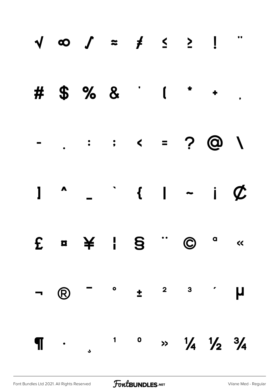|                          |            |        |              | $\begin{array}{cccccccccccccccccc} \sqrt{100} & \sqrt{100} & \sqrt{100} & \frac{1}{2} & \frac{1}{2} & \frac{1}{2} & \frac{1}{2} & \frac{1}{2} & \frac{1}{2} & \frac{1}{2} & \frac{1}{2} & \frac{1}{2} & \frac{1}{2} & \frac{1}{2} & \frac{1}{2} & \frac{1}{2} & \frac{1}{2} & \frac{1}{2} & \frac{1}{2} & \frac{1}{2} & \frac{1}{2} & \frac{1}{2} & \frac{1}{2} & \frac{1}{2} & \frac{1}{2} & \frac{1}{2} & \$ |                                           |  |
|--------------------------|------------|--------|--------------|----------------------------------------------------------------------------------------------------------------------------------------------------------------------------------------------------------------------------------------------------------------------------------------------------------------------------------------------------------------------------------------------------------------|-------------------------------------------|--|
|                          |            |        |              | # $$ \% 8$ $1 * +$                                                                                                                                                                                                                                                                                                                                                                                             |                                           |  |
|                          |            |        |              |                                                                                                                                                                                                                                                                                                                                                                                                                |                                           |  |
|                          |            |        |              | $1 - 1 - i$                                                                                                                                                                                                                                                                                                                                                                                                    |                                           |  |
|                          |            |        |              | £ ¤ ¥ ¦ § " © a «                                                                                                                                                                                                                                                                                                                                                                                              |                                           |  |
| $\overline{\mathcal{A}}$ | $\bigcirc$ |        |              | $\begin{array}{ccccccccccccccccc} - & & & \circ & & & \pm & & ^2 & & ^3 & & ^{\prime} & & \end{array}$                                                                                                                                                                                                                                                                                                         |                                           |  |
|                          |            | $\P$ . | $\mathbf{1}$ |                                                                                                                                                                                                                                                                                                                                                                                                                | $\frac{1}{4}$ $\frac{1}{2}$ $\frac{3}{4}$ |  |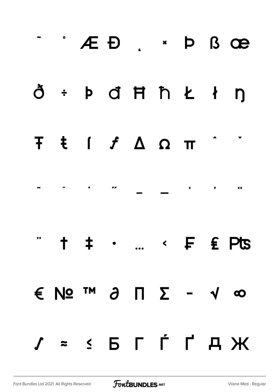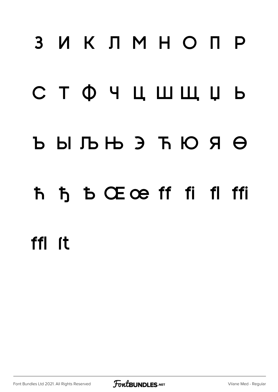## 3 ИКЛМНОПР

### СТФЧЦШЩЏЬ

### $b$   $b$   $b$   $b$   $b$   $c$   $d$   $d$   $d$

### ħ ђ b Œœ ff fi fl ffi

### ffl <sub>It</sub>

Font Bundles Ltd 2021. All Rights Reserved

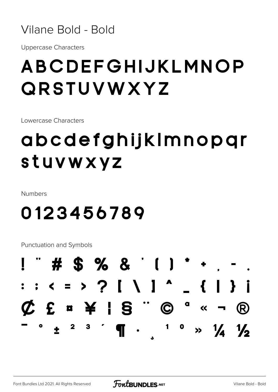#### Vilane Bold - Bold

**Uppercase Characters** 

## ABCDEFGHIJKLMNOP QRSTUVWXYZ

Lowercase Characters

## abcdefghijkImnopar stuvwxyz

Numbers

### 0123456789

Punctuation and Symbols

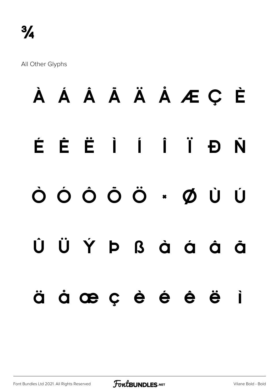All Other Glyphs

### À Á Â Ã Ä Å Æ Ç È ÉÊËÌÍÏĐ N ÒÓÔÔÖ·ØÙ Ú ÜÝÞßàáå Û Õ àœçèéê ë ä  $\blacksquare$

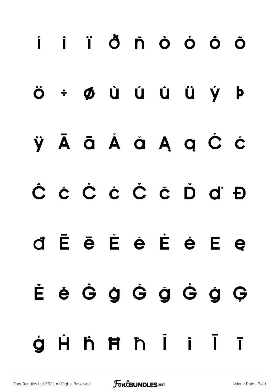## i i i ð ň ò ó ô ö ÷ Ø Ù Ú Û Ü Ý Þ Ö ÿĀā Ă à Ą ą Ć ć Ĉ ĉ Ĉ ċ Č č Ď ď Đ d È è È è È è E e È è Ĝ ĝ Ĝ ġ Ġ ġ Ģ **Hhmhii**  $\overline{1}$ à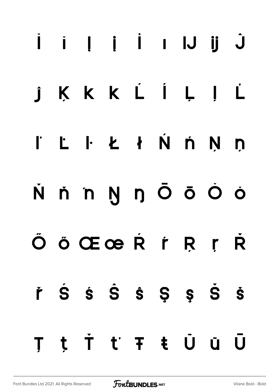## Û U U I İ U Ü Ü KKKLÍLI L  $\hat{\mathbf{J}}$ I L I Ł ł Ń ń Ņ ņ N ň n Ŋ ŋ Ō ō Ŏ ŏ ÖÖŒœRFRF R řŚŚŜŜŜŞŞŠŠ t Ť ť Ŧ ŧ Ů ů  $\overline{U}$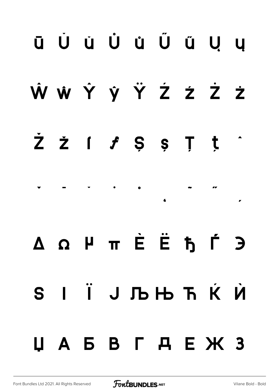## **ū Ŭ ŭ Ů ů Ű ű Ų ų Ŵ ŵ Ŷ ŷ Ÿ Ź ź Ż ż Ž ž ſ ƒ Ș ș Ț ț ˆ ˇ ˉ ˘ ˙ ˚ ˛ ˜ ˝ ̦ Δ Ω μ π Ѐ Ё Ђ Ѓ Є Ѕ І Ї Ј Љ Њ Ћ Ќ Ѝ Џ А Б В Г Д Е Ж З**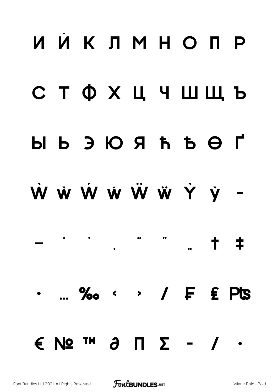## ИЙКЛМНО ПР **СТФХЦЧШЩЬ**  $H$   $\Theta$   $\overline{A}$   $\overline{A}$   $\overline{A}$   $\overline{C}$   $\overline{C}$   $\overline{C}$   $\overline{C}$   $\overline{C}$ W W W W W W Y y -66  $+$   $+$ · ... ‰ < > / F £ Pts  $\epsilon$  No  $\mathsf{M}$   $\lambda$   $\mathsf{M}$   $\mathsf{\Sigma}$  -  $\mathsf{\Lambda}$  .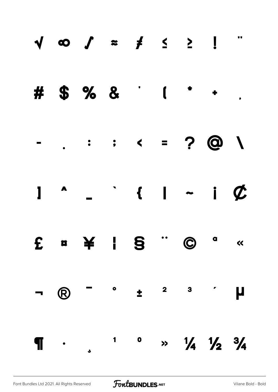|                |            |        |              | # $$ \% 8$ $1$ $1$                                                                                   |  |                                           |  |
|----------------|------------|--------|--------------|------------------------------------------------------------------------------------------------------|--|-------------------------------------------|--|
|                |            |        |              |                                                                                                      |  |                                           |  |
|                |            |        |              | $1 - 1 - 1 - i \phi$                                                                                 |  |                                           |  |
|                |            |        |              | £ ¤ ¥ ¦ § " © " «                                                                                    |  |                                           |  |
| $\blacksquare$ | $\bigcirc$ |        |              | $\begin{array}{ccccccccccccccccc} - & & & \circ & & & \pm & & ^2 & & ^3 & & ^\prime & & \end{array}$ |  |                                           |  |
|                |            | $\P$ . | $\mathbf{1}$ |                                                                                                      |  | $\frac{1}{4}$ $\frac{1}{2}$ $\frac{3}{4}$ |  |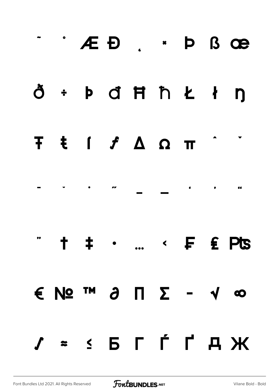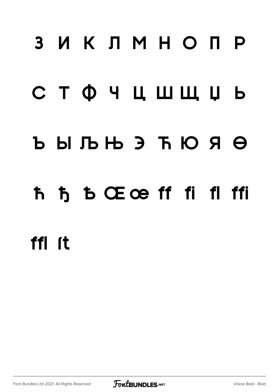## ЗИКЛМНОПР

## СТФЧЦШЩЏЬ

### $b$   $b$   $c$   $d$   $d$   $d$   $d$   $d$   $e$

### ħ ђ Ѣ Œœ ff fi fl ffi

## ffl *ft*

Font Bundles Ltd 2021. All Rights Reserved

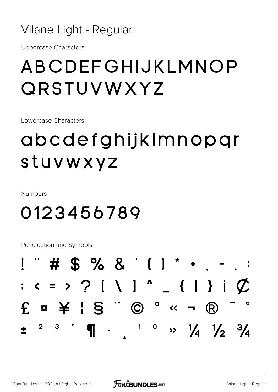#### Vilane Light - Regular

**Uppercase Characters** 

### ABCDEFGHIJKLMNOP QRSTUVWXYZ

Lowercase Characters

## abcdefghijklmnopgr stuvwxyz

**Numbers** 

### 0123456789

Punctuation and Symbols

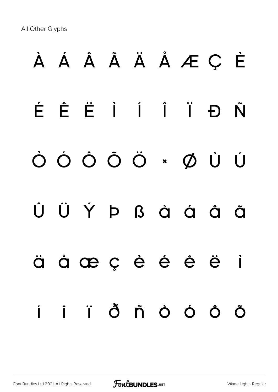All Other Glyphs

# À Á Â Ã Ä Å Æ Ç È É Ê Ë Ì Í Î Ï Ð Ñ Ò Ó Ô Õ Ö × Ø Ù Ú Û Ü Ý Þ ß à á å å ä å æ ç è é ê ë ì í î ï ð ñ ò ó ô õ

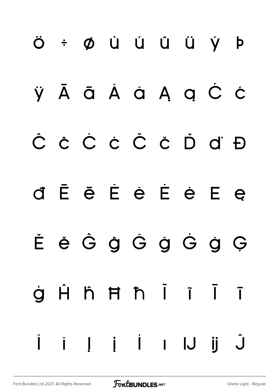## Ö ÷ Ø Ù Ú Û Ü Ý Þ ŸĀ ā Ă ă Ą ą Ć Ć Ĉ ĉ Č ċ Č č Ď ď Đ d Ē ē Ě ě É ė E ę ĚěĜĝĞğĠġĢ Hh Hh Ï Ï ġ  $\overline{1}$ *i* | *i* | 1 | J  $\check{\mathsf{I}}$  $\dot{\bigcup}$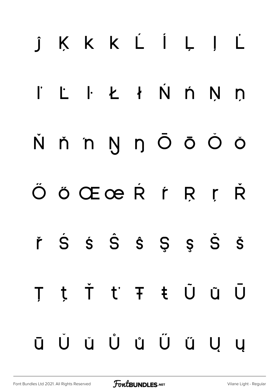## j K K K L Í L J L  $k + N$   $n$   $N$  $\mathbf{r}$  $\mathsf{L}$  $\Box$ ň n Ŋ ŋ Ō Ō Ŏ Ŏ Ň ÖÖŒœRŕŖŗ **R** řŚŚŜŜŜŞŞŠŠ t Ť ť Ŧ ŧ Ũ ũ Ū T Ŭ Ŭ Ů Ů Ű Ű Ŭ Ū  $\overline{u}$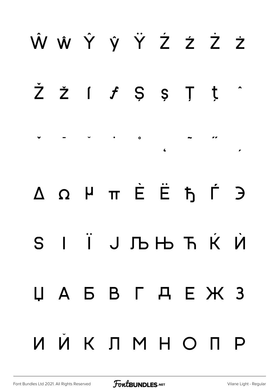## Ŵ ŵ Ŷ ŷ Ÿ Ź ź Ż ż  $\check{Z}$   $\check{Z}$   $\vdots$   $\check{J}$   $\check{S}$   $\check{S}$   $\check{J}$   $\check{J}$ ˇ ˉ ˘ ˙ ˚  $\overline{a}$   $\overline{a}$   $\overline{a}$ Δ Ω μ π Ѐ Ё Ђ Ѓ Є Ѕ І Ї Ј Љ Њ Ћ Ќ Ѝ Џ А Б В Г Д Е Ж З И Й К Л М Н О П Р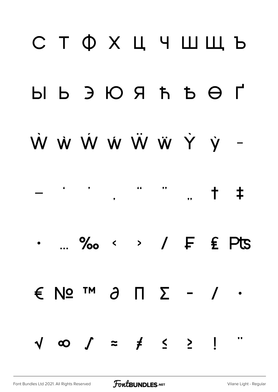## С Т Ф Х Ц Ч Ш Ш Ъ  $H$   $\vdash$   $\vdash$   $\vdash$   $\vdash$   $\vdash$   $\vdash$   $\vdash$   $\vdash$   $\vdash$   $\vdash$   $\vdash$   $\vdash$ W W W W W W Y V - $+$   $+$  $\ldots$  ‰ < > /  $F$   $\epsilon$  Pts  $\epsilon$  No  $\mathsf{M}$  and  $\mathsf{M}$  and  $\mathsf{M}$  and  $\mathsf{M}$  $\sqrt{\infty}$   $\int$  =  $\neq$   $\leq$   $\geq$   $\frac{1}{2}$  $\bullet$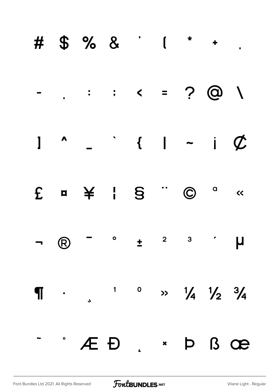|  | # \$ % & ' ( * + .                                                                               |  |  |  |
|--|--------------------------------------------------------------------------------------------------|--|--|--|
|  |                                                                                                  |  |  |  |
|  | $1$ $\sim$ $ 1$ $ 1$ $\sim$                                                                      |  |  |  |
|  | $E \quad a \quad \not\cong \quad I \quad S \quad \text{``}\quad \textcircled{c} \quad \text{``}$ |  |  |  |
|  |                                                                                                  |  |  |  |
|  | $\P$ . $1 \t 0 \t 1 \t 1 \t 1$                                                                   |  |  |  |
|  | $^{\circ}$ $\angle E$ D $_{\circ}$ $^{\circ}$ D $_{\circ}$ Oe                                    |  |  |  |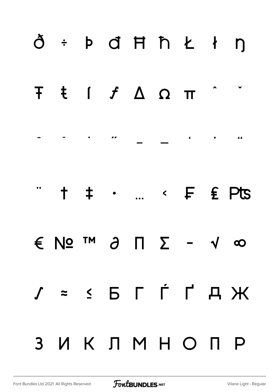|                | ð ÷ þ đ Ħ ħ Ł ł ŋ                                                                                                                                                                                                                                                                                                                                                                                                                                                                   |  |  |           |  |
|----------------|-------------------------------------------------------------------------------------------------------------------------------------------------------------------------------------------------------------------------------------------------------------------------------------------------------------------------------------------------------------------------------------------------------------------------------------------------------------------------------------|--|--|-----------|--|
|                | <b>Τ ŧ ſ ƒ Δ Ω π</b>                                                                                                                                                                                                                                                                                                                                                                                                                                                                |  |  |           |  |
|                |                                                                                                                                                                                                                                                                                                                                                                                                                                                                                     |  |  |           |  |
|                | $\qquad \qquad \, \texttt{+ + + \cdot } \quad \texttt{+} \quad \texttt{+} \quad \texttt{+} \quad \texttt{+} \quad \texttt{+} \quad \texttt{+} \quad \texttt{+} \quad \texttt{+} \quad \texttt{+} \quad \texttt{+} \quad \texttt{+} \quad \texttt{+} \quad \texttt{+} \quad \texttt{+} \quad \texttt{+} \quad \texttt{+} \quad \texttt{+} \quad \texttt{+} \quad \texttt{+} \quad \texttt{+} \quad \texttt{+} \quad \texttt{+} \quad \texttt{+} \quad \texttt{+} \quad \texttt{+} \$ |  |  |           |  |
|                | $\epsilon$ No $\epsilon$ $\theta$ $\Gamma$ $\delta$ - $\gamma$ $\infty$                                                                                                                                                                                                                                                                                                                                                                                                             |  |  |           |  |
|                | $J = S B T T A H$                                                                                                                                                                                                                                                                                                                                                                                                                                                                   |  |  |           |  |
| 3 <sup>1</sup> |                                                                                                                                                                                                                                                                                                                                                                                                                                                                                     |  |  | ИКЛМНО ПР |  |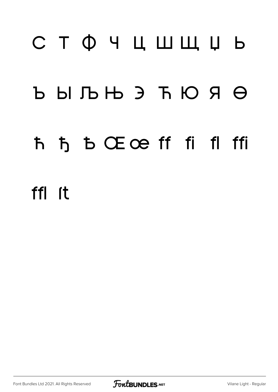# СТФЧЦШЩЏЬ  $b$   $b$   $b$   $b$   $b$   $c$   $d$   $d$   $d$ ħ ђ b Œœ ff fi fl ffi ffl (t

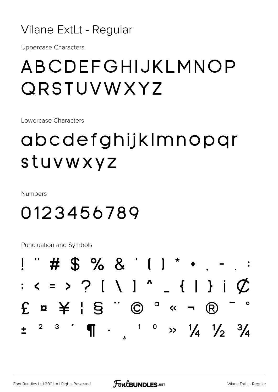#### Vilane ExtLt - Regular

**Uppercase Characters** 

### ABCDEFGHIJKLMNOP QRSTUVWXYZ

Lowercase Characters

## abcdefghijklmnopqr stuvwxyz

**Numbers** 

### 0123456789

Punctuation and Symbols

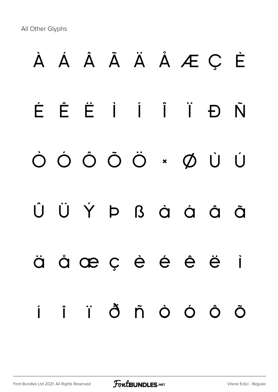All Other Glyphs

# À Á Â Ã Ä Å Æ Ç È É Ê Ë Ì Í Î Ï Ð Ñ Ò Ó Ô Õ Ö × Ø Ù Ú Û Ü Ý Þ ß à á â ã ä å æ ç è é ê ë ì í î ï ð ñ ò ó ô õ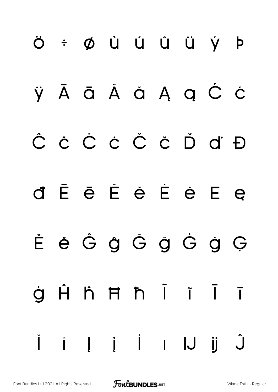## Ö ÷ Ø Ù Ú Û Ü Ý þ ŸĀ ā Ă ă Ą ą Ć Ć Ĉ ĉ Ċ ċ Č č Ď ď Đ d Ē ē Ě ě Ė ė E ę ĚěĜĝĞğĠġĢ Hh Hh Ï Ï ġ  $\overline{1}$ III i I IJ  $\hat{\mathsf{J}}$  $\check{\mathsf{I}}$  $\ddot{\mathbf{j}}$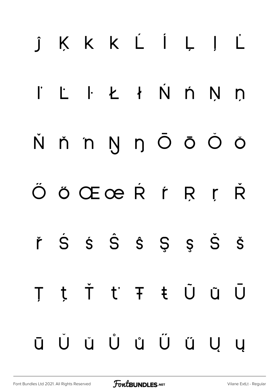## j K K K L Í L J L I'LIE KŃŃN  $\Box$ ňnynŌōŎŎ Ň ÖÖŒœŘŕŖŗ Ŕ řŚŚŜŜŜŞŞŠŠ t Ť ť Ŧ ŧ Ũ ũ Ū  $\top$ Ŭ ŭ Ů ů Ű ű Ų Ū  $\overline{u}$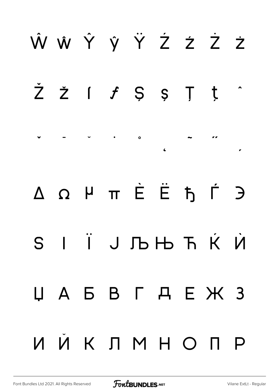## Ŵ ŵ Ŷ ŷ Ÿ Ź ź Ż ż  $\check{Z}$   $\check{Z}$   $\vdots$   $\check{J}$   $\check{S}$   $\check{S}$   $\check{J}$   $\check{J}$ ˇ ˉ ˘ ˙ ˚  $\overline{a}$   $\overline{a}$   $\overline{a}$ Δ Ω μ π Ѐ Ё Ђ Ѓ Є Ѕ І Ї Ј Љ Њ Ћ Ќ Ѝ Џ А Б В Г Д Е Ж З И Й К Л М Н О П Р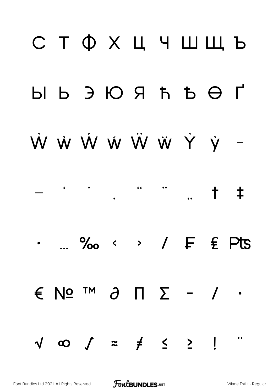## СТФХЦЧШШЬ W W W W W W Y y - $\begin{array}{ccc} \bullet & \bullet & \bullet & \bullet \end{array}$  $\dagger$   $\pm$ ... ‰ < > / F £ Pts  $\epsilon$  No  $\alpha$   $\alpha$   $\beta$   $\alpha$   $\beta$   $\alpha$   $\beta$   $\beta$  $\sqrt{\infty}$   $\int$  =  $\neq$   $\leq$   $\geq$   $\frac{1}{2}$  $\bullet$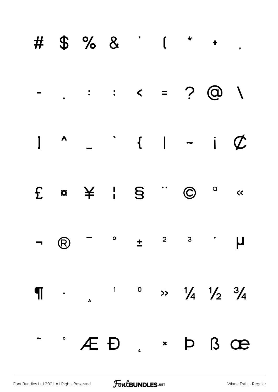|  | # \$ % & ' ( * + .                                                                                                                                                                                                                                                                                                                                                                                                                                            |  |  |  |
|--|---------------------------------------------------------------------------------------------------------------------------------------------------------------------------------------------------------------------------------------------------------------------------------------------------------------------------------------------------------------------------------------------------------------------------------------------------------------|--|--|--|
|  |                                                                                                                                                                                                                                                                                                                                                                                                                                                               |  |  |  |
|  | $1$ $\sim$ $ 1$ $ 1$ $\sigma$                                                                                                                                                                                                                                                                                                                                                                                                                                 |  |  |  |
|  | $E \quad \text{a} \quad \frac{1}{2} \quad \frac{1}{2} \quad \frac{1}{2} \quad \frac{1}{2} \quad \frac{1}{2} \quad \frac{1}{2} \quad \frac{1}{2} \quad \frac{1}{2} \quad \frac{1}{2} \quad \frac{1}{2} \quad \frac{1}{2} \quad \frac{1}{2} \quad \frac{1}{2} \quad \frac{1}{2} \quad \frac{1}{2} \quad \frac{1}{2} \quad \frac{1}{2} \quad \frac{1}{2} \quad \frac{1}{2} \quad \frac{1}{2} \quad \frac{1}{2} \quad \frac{1}{2} \quad \frac{1}{2} \quad \frac{$ |  |  |  |
|  |                                                                                                                                                                                                                                                                                                                                                                                                                                                               |  |  |  |
|  | $\P$ . $\frac{1}{3}$ . $\frac{1}{3}$ . $\frac{1}{2}$ . $\frac{1}{4}$ . $\frac{1}{2}$ . $\frac{3}{4}$                                                                                                                                                                                                                                                                                                                                                          |  |  |  |
|  | - AED. * P B OB                                                                                                                                                                                                                                                                                                                                                                                                                                               |  |  |  |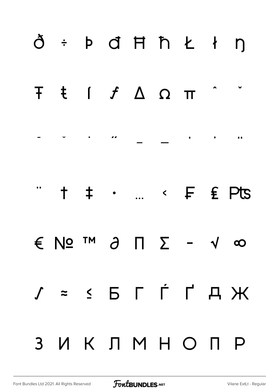|                         | ð ÷ þ đ Ħ ħ Ł ł ŋ |  |  |          |                  |
|-------------------------|-------------------|--|--|----------|------------------|
|                         | F ŧ ſ ƒ Δ Ω π     |  |  |          |                  |
|                         |                   |  |  |          |                  |
| $\overline{\mathbf{H}}$ |                   |  |  |          | t ‡ ·  < F £ Pts |
|                         | € № ™ ∂ ∏ ∑ - √ ∞ |  |  |          |                  |
|                         | $J = S F T T A H$ |  |  |          |                  |
| 3 <sup>1</sup>          |                   |  |  | ИКЛМНОПР |                  |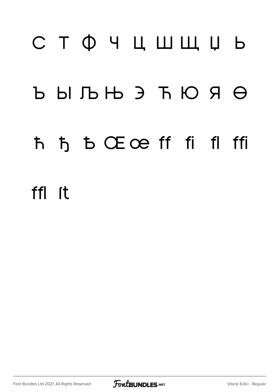# СТФЧЦШЩЏЬ  $\begin{matrix} \text{D} & \text{D} & \text{D} & \text{D} & \text{D} & \text{D} & \text{D} & \text{D} & \text{D} & \text{D} & \text{D} & \text{D} & \text{D} & \text{D} & \text{D} & \text{D} & \text{D} & \text{D} & \text{D} & \text{D} & \text{D} & \text{D} & \text{D} & \text{D} & \text{D} & \text{D} & \text{D} & \text{D} & \text{D} & \text{D} & \text{D} & \text{D} & \text{D} & \text{D} & \text{D} & \text{D}$ ħ ђ b Œœ ff fi fl ffi ffl <sub>It</sub>

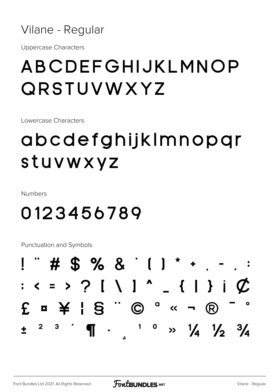

**Uppercase Characters** 

### ABCDEFGHIJKLMNOP QRSTUVWXYZ

Lowercase Characters

## abcdefghijkImnopqr stuvwxyz

**Numbers** 

### 0123456789

Punctuation and Symbols

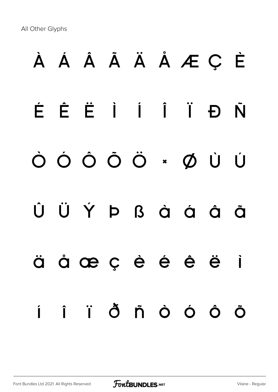All Other Glyphs

# À Á Â Ã Ä Å Æ Ç È É Ê Ë Ì Í Î Ï Ð Ñ Ò Ó Ô Õ Ö × Ø Ù Ú Û Ü Ý Þ ß à á â ã ä å æ ç è é ê ë ì í î ï ð ñ ò ó ô õ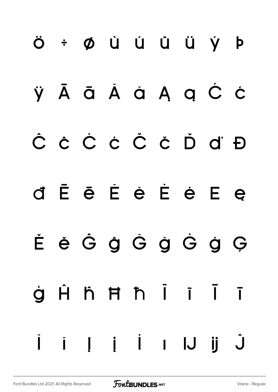## Ö ÷ Ø Ù Ú Û Ü Ý Þ ŸĀ ā Ă ă Ą ą Ć Ć Ĉ ĉ Č ċ Č č Ď ď Đ d Ē ē Ě è É è E e ĚěĜĝĞğĜġĢ Hh Hh İ i Ī  $\dot{\mathbf{Q}}$  $\blacksquare$  $\hat{\mathsf{J}}$ i li i lJ ij  $\overline{1}$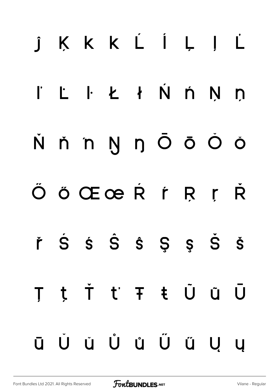## KKKLÍLIL  $\int$ I Ł ł Ń ń Ņ ņ  $\mathbf{L}$ N n Ō ō Ŏ Ŏ ň 'n Ň ÖÖŒœRFRF R řŚŚŜŜŜŞŞŠŠ t Ť ť Ŧ ŧ Ũ ũ Ū T Ŭ Ŭ Ů Ů Ű Ű Ų Ū **U**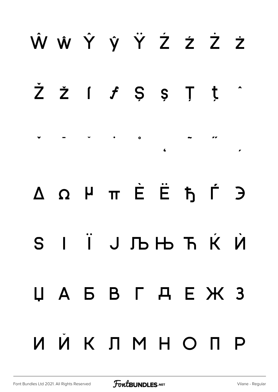## Ŵ ŵ Ŷ ŷ Ÿ Ź ź Ż ż  $\dot{Z}$   $\dot{Z}$   $\dot{f}$   $\dot{S}$   $\dot{S}$   $\ddot{J}$   $\dot{t}$ ˇ ˉ ˘ ˙ ˚  $\overline{a}$   $\overline{a}$   $\overline{a}$ Δ Ω μ π Ѐ Ё Ђ Ѓ Є Ѕ І Ї Ј Љ Њ Ћ Ќ Ѝ Џ А Б В Г Д Е Ж З И Й К Л М Н О П Р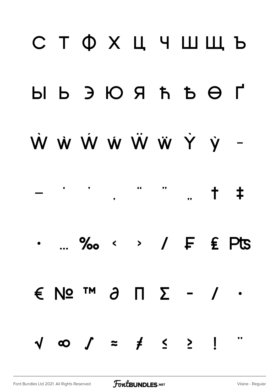## **СТФХЦЧШЩЬ**  $H$   $\Theta$   $\overline{H}$   $\overline{H}$   $\overline{H}$   $\overline{H}$   $\overline{H}$   $\overline{H}$   $\overline{H}$   $\overline{H}$   $\overline{H}$ W W W W W W Y y - $\frac{1}{2}$  $+$   $+$  $\ldots$  ‰ < > /  $F$   $\epsilon$  Pts  $\epsilon$  No  $\mathsf{M}$  and  $\mathsf{M}$  and  $\mathsf{M}$  and  $\mathsf{M}$  $\sqrt{\infty}$   $\int$  =  $\neq$   $\leq$   $\geq$   $\frac{1}{2}$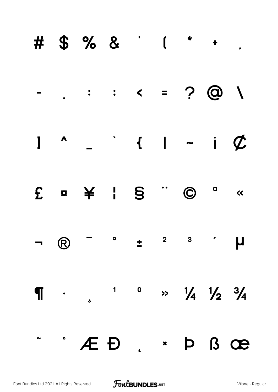|  | # \$ % & ' ( * + .                                                                                                                                                                                                                                                                                                                                                                                                                                            |  |  |  |
|--|---------------------------------------------------------------------------------------------------------------------------------------------------------------------------------------------------------------------------------------------------------------------------------------------------------------------------------------------------------------------------------------------------------------------------------------------------------------|--|--|--|
|  |                                                                                                                                                                                                                                                                                                                                                                                                                                                               |  |  |  |
|  | $1$ $\sim$ $\sim$ $1$ $\sim$ $i$ $\phi$                                                                                                                                                                                                                                                                                                                                                                                                                       |  |  |  |
|  | $E \quad \text{m} \quad \frac{1}{2} \quad \frac{1}{2} \quad \frac{1}{2} \quad \frac{1}{2} \quad \frac{1}{2} \quad \frac{1}{2} \quad \frac{1}{2} \quad \frac{1}{2} \quad \frac{1}{2} \quad \frac{1}{2} \quad \frac{1}{2} \quad \frac{1}{2} \quad \frac{1}{2} \quad \frac{1}{2} \quad \frac{1}{2} \quad \frac{1}{2} \quad \frac{1}{2} \quad \frac{1}{2} \quad \frac{1}{2} \quad \frac{1}{2} \quad \frac{1}{2} \quad \frac{1}{2} \quad \frac{1}{2} \quad \frac{$ |  |  |  |
|  |                                                                                                                                                                                                                                                                                                                                                                                                                                                               |  |  |  |
|  | $\P$ . , 1 0 >> $1/4$ $1/2$ $3/4$                                                                                                                                                                                                                                                                                                                                                                                                                             |  |  |  |
|  | - · Æ Ð . · Þ ß œ                                                                                                                                                                                                                                                                                                                                                                                                                                             |  |  |  |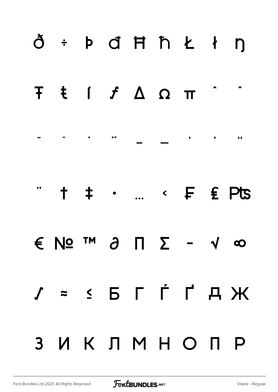|                         | ð + þ đ Ħ ħ Ł ł ŋ    |  |  |           |                  |
|-------------------------|----------------------|--|--|-----------|------------------|
|                         | <b>Τ ŧ ſ ƒ Δ Ω π</b> |  |  |           |                  |
|                         |                      |  |  |           |                  |
| $\overline{\mathbf{H}}$ |                      |  |  |           | + + ·  < F £ Pts |
|                         | € Nº ™ ∂ ∏ ∑ - √ ∞   |  |  |           |                  |
|                         | $J = S F T T A H$    |  |  |           |                  |
| 3 <sup>1</sup>          |                      |  |  | ИКЛМНО ПР |                  |